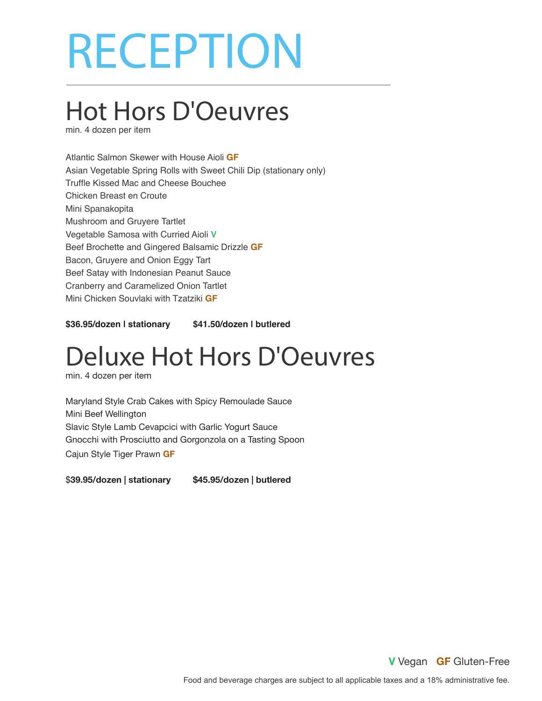# RECEPTION

### Hot Hors D'Oeuvres

min. 4 dozen per item

Atlantic Salmon Skewer with House Aioli **GF** Asian Vegetable Spring Rolls with Sweet Chili Dip (stationary only) Truffle Kissed Mac and Cheese Bouchee Chicken Breast en Croute Mini Spanakopita Mushroom and Gruyere Tartlet Vegetable Samosa with Curried Aioli **V** Beef Brochette and Gingered Balsamic Drizzle **GF** Bacon, Gruyere and Onion Eggy Tart Beef Satay with Indonesian Peanut Sauce Cranberry and Caramelized Onion Tartlet Mini Chicken Souvlaki with Tzatziki **GF**

**\$36.95/dozen | stationary \$41.50/dozen | butlered**

### Deluxe Hot Hors D'Oeuvres

min. 4 dozen per item

Maryland Style Crab Cakes with Spicy Remoulade Sauce Mini Beef Wellington Slavic Style Lamb Cevapcici with Garlic Yogurt Sauce Gnocchi with Prosciutto and Gorgonzola on a Tasting Spoon Cajun Style Tiger Prawn **GF**

\$**39.95/dozen | stationary \$45.95/dozen | butlered**

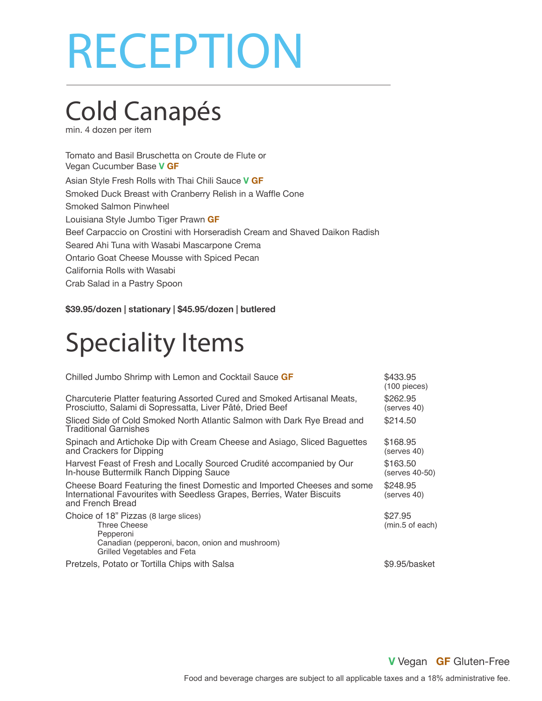# RECEPTION

## Cold Canapés

min. 4 dozen per item

Tomato and Basil Bruschetta on Croute de Flute or Vegan Cucumber Base **V GF** Asian Style Fresh Rolls with Thai Chili Sauce **V GF** Smoked Duck Breast with Cranberry Relish in a Waffle Cone Smoked Salmon Pinwheel Louisiana Style Jumbo Tiger Prawn **GF** Beef Carpaccio on Crostini with Horseradish Cream and Shaved Daikon Radish Seared Ahi Tuna with Wasabi Mascarpone Crema Ontario Goat Cheese Mousse with Spiced Pecan California Rolls with Wasabi Crab Salad in a Pastry Spoon

**\$39.95/dozen | stationary | \$45.95/dozen | butlered**

### Speciality Items

| Chilled Jumbo Shrimp with Lemon and Cocktail Sauce GF                                                                                                                  | \$433.95<br>$(100$ pieces) |
|------------------------------------------------------------------------------------------------------------------------------------------------------------------------|----------------------------|
| Charcuterie Platter featuring Assorted Cured and Smoked Artisanal Meats,<br>Prosciutto, Salami di Sopressatta, Liver Pâté, Dried Beef                                  | \$262.95<br>(serves 40)    |
| Sliced Side of Cold Smoked North Atlantic Salmon with Dark Rye Bread and<br><b>Traditional Garnishes</b>                                                               | \$214.50                   |
| Spinach and Artichoke Dip with Cream Cheese and Asiago, Sliced Baguettes<br>and Crackers for Dipping                                                                   | \$168.95<br>(serves 40)    |
| Harvest Feast of Fresh and Locally Sourced Crudité accompanied by Our<br>In-house Buttermilk Ranch Dipping Sauce                                                       | \$163.50<br>(serves 40-50) |
| Cheese Board Featuring the finest Domestic and Imported Cheeses and some<br>International Favourites with Seedless Grapes, Berries, Water Biscuits<br>and French Bread | \$248.95<br>(serves 40)    |
| Choice of 18" Pizzas (8 large slices)<br>Three Cheese<br>Pepperoni<br>Canadian (pepperoni, bacon, onion and mushroom)<br>Grilled Vegetables and Feta                   | \$27.95<br>(min.5 of each) |
| Pretzels, Potato or Tortilla Chips with Salsa                                                                                                                          | \$9.95/basket              |

**V** Vegan **GF** Gluten-Free